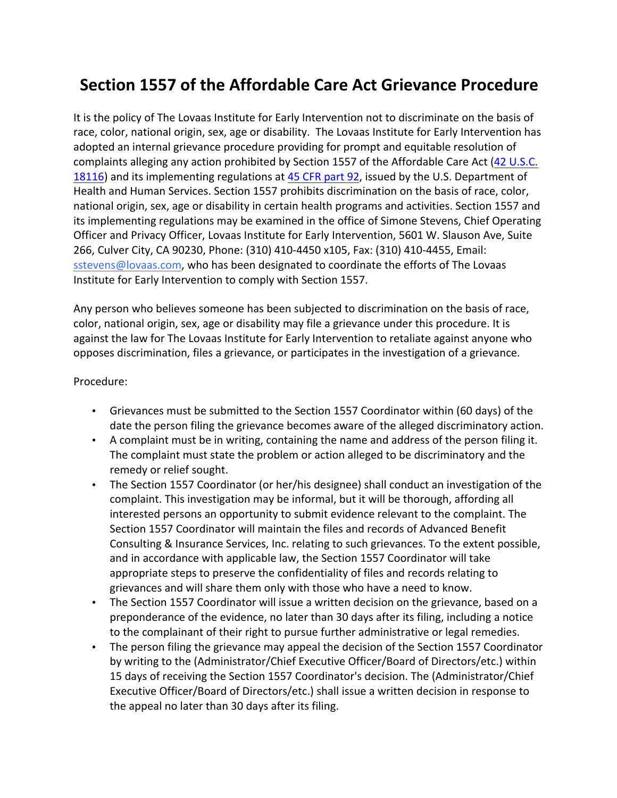## **Section 1557 of the Affordable Care Act Grievance Procedure**

It is the policy of The Lovaas Institute for Early Intervention not to discriminate on the basis of race, color, national origin, sex, age or disability. The Lovaas Institute for Early Intervention has adopted an internal grievance procedure providing for prompt and equitable resolution of complaints alleging any action prohibited by Section 1557 of the Affordable Care Act (42 U.S.C. 18116) and its implementing regulations at 45 CFR part 92, issued by the U.S. Department of Health and Human Services. Section 1557 prohibits discrimination on the basis of race, color, national origin, sex, age or disability in certain health programs and activities. Section 1557 and its implementing regulations may be examined in the office of Simone Stevens, Chief Operating Officer and Privacy Officer, Lovaas Institute for Early Intervention, 5601 W. Slauson Ave, Suite 266, Culver City, CA 90230, Phone: (310) 410-4450 x105, Fax: (310) 410-4455, Email: sstevens@lovaas.com, who has been designated to coordinate the efforts of The Lovaas Institute for Early Intervention to comply with Section 1557.

Any person who believes someone has been subjected to discrimination on the basis of race, color, national origin, sex, age or disability may file a grievance under this procedure. It is against the law for The Lovaas Institute for Early Intervention to retaliate against anyone who opposes discrimination, files a grievance, or participates in the investigation of a grievance.

## Procedure:

- Grievances must be submitted to the Section 1557 Coordinator within (60 days) of the date the person filing the grievance becomes aware of the alleged discriminatory action.
- A complaint must be in writing, containing the name and address of the person filing it. The complaint must state the problem or action alleged to be discriminatory and the remedy or relief sought.
- The Section 1557 Coordinator (or her/his designee) shall conduct an investigation of the complaint. This investigation may be informal, but it will be thorough, affording all interested persons an opportunity to submit evidence relevant to the complaint. The Section 1557 Coordinator will maintain the files and records of Advanced Benefit Consulting & Insurance Services, Inc. relating to such grievances. To the extent possible, and in accordance with applicable law, the Section 1557 Coordinator will take appropriate steps to preserve the confidentiality of files and records relating to grievances and will share them only with those who have a need to know.
- The Section 1557 Coordinator will issue a written decision on the grievance, based on a preponderance of the evidence, no later than 30 days after its filing, including a notice to the complainant of their right to pursue further administrative or legal remedies.
- The person filing the grievance may appeal the decision of the Section 1557 Coordinator by writing to the (Administrator/Chief Executive Officer/Board of Directors/etc.) within 15 days of receiving the Section 1557 Coordinator's decision. The (Administrator/Chief Executive Officer/Board of Directors/etc.) shall issue a written decision in response to the appeal no later than 30 days after its filing.